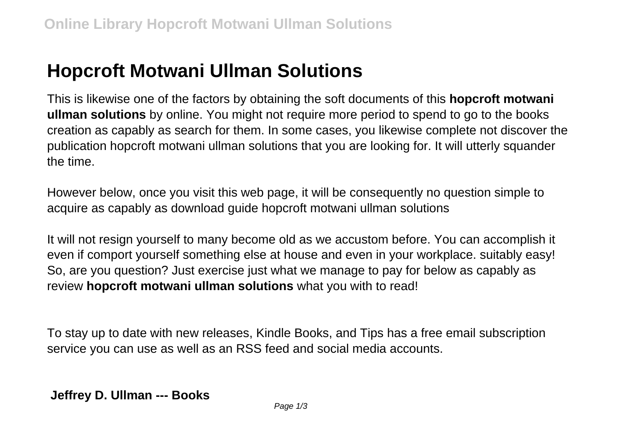## **Hopcroft Motwani Ullman Solutions**

This is likewise one of the factors by obtaining the soft documents of this **hopcroft motwani ullman solutions** by online. You might not require more period to spend to go to the books creation as capably as search for them. In some cases, you likewise complete not discover the publication hopcroft motwani ullman solutions that you are looking for. It will utterly squander the time.

However below, once you visit this web page, it will be consequently no question simple to acquire as capably as download guide hopcroft motwani ullman solutions

It will not resign yourself to many become old as we accustom before. You can accomplish it even if comport yourself something else at house and even in your workplace. suitably easy! So, are you question? Just exercise just what we manage to pay for below as capably as review **hopcroft motwani ullman solutions** what you with to read!

To stay up to date with new releases, Kindle Books, and Tips has a free email subscription service you can use as well as an RSS feed and social media accounts.

**Jeffrey D. Ullman --- Books**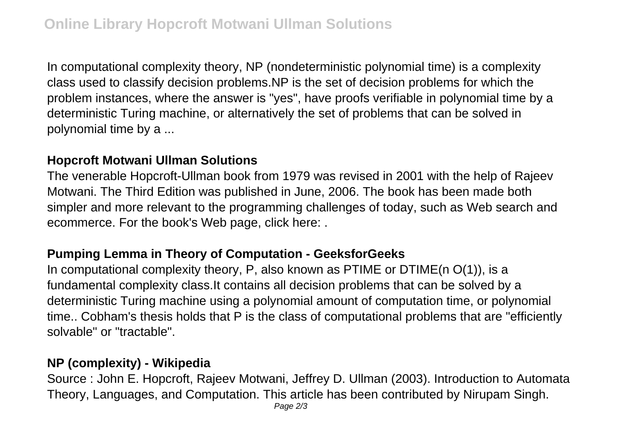In computational complexity theory, NP (nondeterministic polynomial time) is a complexity class used to classify decision problems.NP is the set of decision problems for which the problem instances, where the answer is "yes", have proofs verifiable in polynomial time by a deterministic Turing machine, or alternatively the set of problems that can be solved in polynomial time by a ...

## **Hopcroft Motwani Ullman Solutions**

The venerable Hopcroft-Ullman book from 1979 was revised in 2001 with the help of Rajeev Motwani. The Third Edition was published in June, 2006. The book has been made both simpler and more relevant to the programming challenges of today, such as Web search and ecommerce. For the book's Web page, click here: .

## **Pumping Lemma in Theory of Computation - GeeksforGeeks**

In computational complexity theory, P, also known as PTIME or DTIME(n  $O(1)$ ), is a fundamental complexity class.It contains all decision problems that can be solved by a deterministic Turing machine using a polynomial amount of computation time, or polynomial time.. Cobham's thesis holds that P is the class of computational problems that are "efficiently solvable" or "tractable".

## **NP (complexity) - Wikipedia**

Source : John E. Hopcroft, Rajeev Motwani, Jeffrey D. Ullman (2003). Introduction to Automata Theory, Languages, and Computation. This article has been contributed by Nirupam Singh.